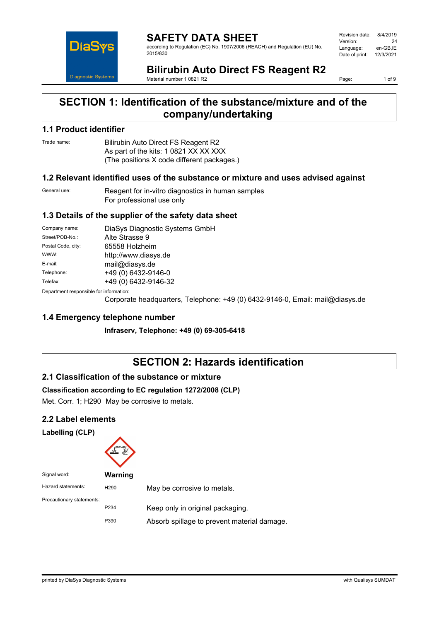

**SAFETY DATA SHEET** according to Regulation (EC) No. 1907/2006 (REACH) and Regulation (EU) No. 2015/830

| Revision date: | 8/4/2019  |
|----------------|-----------|
| Version:       | 24        |
| Language:      | en-GB.IE  |
| Date of print: | 12/3/2021 |
|                |           |

**Bilirubin Auto Direct FS Reagent R2** Material number 1 0821 R2

Page: 1 of 9

## **SECTION 1: Identification of the substance/mixture and of the company/undertaking**

#### **1.1 Product identifier**

Trade name: Bilirubin Auto Direct FS Reagent R2 As part of the kits: 1 0821 XX XX XXX (The positions X code different packages.)

#### **1.2 Relevant identified uses of the substance or mixture and uses advised against**

General use: Reagent for in-vitro diagnostics in human samples For professional use only

### **1.3 Details of the supplier of the safety data sheet**

| Company name:                           | DiaSys Diagnostic Systems GmbH |  |
|-----------------------------------------|--------------------------------|--|
| Street/POB-No.:                         | Alte Strasse 9                 |  |
| Postal Code, city:                      | 65558 Holzheim                 |  |
| WWW:                                    | http://www.diasys.de           |  |
| E-mail:                                 | mail@diasys.de                 |  |
| Telephone:                              | +49 (0) 6432-9146-0            |  |
| Telefax:                                | +49 (0) 6432-9146-32           |  |
| Department responsible for information: |                                |  |

0epartment responsible fo

Corporate headquarters, Telephone: +49 (0) 6432-9146-0, Email: mail@diasys.de

### **1.4 Emergency telephone number**

**Infraserv, Telephone: +49 (0) 69-305-6418**

## **SECTION 2: Hazards identification**

### **2.1 Classification of the substance or mixture**

#### **Classification according to EC regulation 1272/2008 (CLP)**

Met. Corr. 1; H290 May be corrosive to metals.

### **2.2 Label elements**

**Labelling (CLP)**



| . טושו ואושו              | <u>VVALIIIIIY</u> |                                             |
|---------------------------|-------------------|---------------------------------------------|
| Hazard statements:        | H <sub>290</sub>  | May be corrosive to metals.                 |
| Precautionary statements: |                   |                                             |
|                           | P <sub>2</sub> 34 | Keep only in original packaging.            |
|                           | P390              | Absorb spillage to prevent material damage. |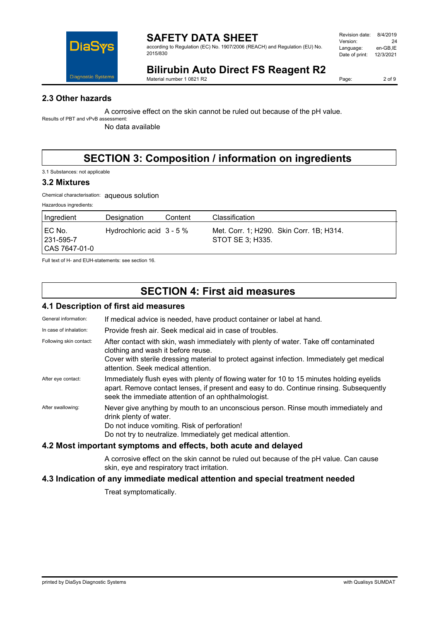

according to Regulation (EC) No. 1907/2006 (REACH) and Regulation (EU) No. 2015/830

| 8/4/2019  |
|-----------|
| 24        |
| en-GB.IE  |
| 12/3/2021 |
|           |

# **Bilirubin Auto Direct FS Reagent R2**

Material number 1 0821 R2

Page: 2 of 9

## **2.3 Other hazards**

A corrosive effect on the skin cannot be ruled out because of the pH value.

Results of PBT and vPvB assessment: No data available

# **SECTION 3: Composition / information on ingredients**

3.1 Substances: not applicable

#### **3.2 Mixtures**

Chemical characterisation: aqueous solution

| Hazardous ingredients: |  |
|------------------------|--|
|                        |  |

| Ingredient                               | Designation                 | Content | Classification                                               |
|------------------------------------------|-----------------------------|---------|--------------------------------------------------------------|
| I EC No.<br>  231-595-7<br>CAS 7647-01-0 | Hydrochloric acid $3 - 5\%$ |         | Met. Corr. 1; H290. Skin Corr. 1B; H314.<br>STOT SE 3: H335. |

Full text of H- and EUH-statements: see section 16.

## **SECTION 4: First aid measures**

#### **4.1 Description of first aid measures**

| General information:    | If medical advice is needed, have product container or label at hand.                                                                                                                                                                                           |
|-------------------------|-----------------------------------------------------------------------------------------------------------------------------------------------------------------------------------------------------------------------------------------------------------------|
| In case of inhalation:  | Provide fresh air. Seek medical aid in case of troubles.                                                                                                                                                                                                        |
| Following skin contact: | After contact with skin, wash immediately with plenty of water. Take off contaminated<br>clothing and wash it before reuse.<br>Cover with sterile dressing material to protect against infection. Immediately get medical<br>attention. Seek medical attention. |
| After eye contact:      | Immediately flush eyes with plenty of flowing water for 10 to 15 minutes holding eyelids<br>apart. Remove contact lenses, if present and easy to do. Continue rinsing. Subsequently<br>seek the immediate attention of an ophthalmologist.                      |
| After swallowing:       | Never give anything by mouth to an unconscious person. Rinse mouth immediately and<br>drink plenty of water.<br>Do not induce vomiting. Risk of perforation!<br>Do not try to neutralize. Immediately get medical attention.                                    |
|                         |                                                                                                                                                                                                                                                                 |

#### **4.2 Most important symptoms and effects, both acute and delayed**

A corrosive effect on the skin cannot be ruled out because of the pH value. Can cause skin, eye and respiratory tract irritation.

### **4.3 Indication of any immediate medical attention and special treatment needed**

Treat symptomatically.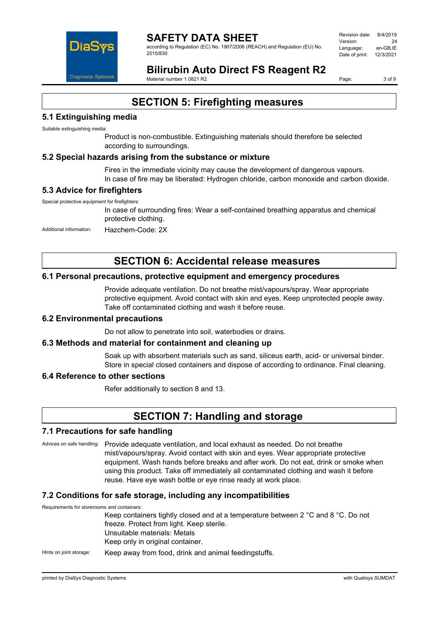

#### **SAFETY DATA SHEET** according to Regulation (EC) No. 1907/2006 (REACH) and Regulation (EU) No. 2015/830

Revision date: 8/4/2019 Version: 24<br>Language: en-GB.IE Language: Date of print: 12/3/2021

# **Bilirubin Auto Direct FS Reagent R2**

Material number 1 0821 R2

Page: 3 of 9

## **SECTION 5: Firefighting measures**

## **5.1 Extinguishing media**

Suitable extinguishing media:

Product is non-combustible. Extinguishing materials should therefore be selected according to surroundings.

#### **5.2 Special hazards arising from the substance or mixture**

Fires in the immediate vicinity may cause the development of dangerous vapours. In case of fire may be liberated: Hydrogen chloride, carbon monoxide and carbon dioxide.

#### **5.3 Advice for firefighters**

Special protective equipment for firefighters:

In case of surrounding fires: Wear a self-contained breathing apparatus and chemical protective clothing.

Additional information: Hazchem-Code: 2X

## **SECTION 6: Accidental release measures**

#### **6.1 Personal precautions, protective equipment and emergency procedures**

Provide adequate ventilation. Do not breathe mist/vapours/spray. Wear appropriate protective equipment. Avoid contact with skin and eyes. Keep unprotected people away. Take off contaminated clothing and wash it before reuse.

#### **6.2 Environmental precautions**

Do not allow to penetrate into soil, waterbodies or drains.

#### **6.3 Methods and material for containment and cleaning up**

Soak up with absorbent materials such as sand, siliceus earth, acid- or universal binder. Store in special closed containers and dispose of according to ordinance. Final cleaning.

#### **6.4 Reference to other sections**

Refer additionally to section 8 and 13.

## **SECTION 7: Handling and storage**

#### **7.1 Precautions for safe handling**

Advices on safe handling: Provide adequate ventilation, and local exhaust as needed. Do not breathe mist/vapours/spray. Avoid contact with skin and eyes. Wear appropriate protective equipment. Wash hands before breaks and after work. Do not eat, drink or smoke when using this product. Take off immediately all contaminated clothing and wash it before reuse. Have eye wash bottle or eye rinse ready at work place.

#### **7.2 Conditions for safe storage, including any incompatibilities**

| Requirements for storerooms and containers: |                                                                                   |
|---------------------------------------------|-----------------------------------------------------------------------------------|
|                                             | Keep containers tightly closed and at a temperature between 2 °C and 8 °C. Do not |
|                                             | freeze. Protect from light. Keep sterile.                                         |
|                                             | Unsuitable materials: Metals                                                      |
|                                             | Keep only in original container.                                                  |
| Hints on joint storage:                     | Keep away from food, drink and animal feedingstuffs.                              |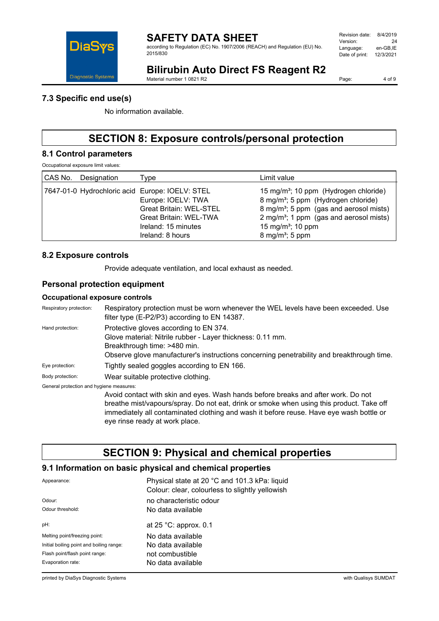

according to Regulation (EC) No. 1907/2006 (REACH) and Regulation (EU) No. 2015/830

| 8/4/2019  |
|-----------|
| 24        |
| en-GB.IE  |
| 12/3/2021 |
|           |

# **Bilirubin Auto Direct FS Reagent R2**

Material number 1 0821 R2

Page: 4 of 9

### **7.3 Specific end use(s)**

No information available.

# **SECTION 8: Exposure controls/personal protection**

#### **8.1 Control parameters**

Occupational exposure limit values:

| CAS No.<br>Designation                          | Type                                                                                                                             | Limit value                                                                                                                                                                                                                                                                       |
|-------------------------------------------------|----------------------------------------------------------------------------------------------------------------------------------|-----------------------------------------------------------------------------------------------------------------------------------------------------------------------------------------------------------------------------------------------------------------------------------|
| 7647-01-0 Hydrochloric acid Europe: IOELV: STEL | Europe: IOELV: TWA<br><b>Great Britain: WEL-STEL</b><br><b>Great Britain: WEL-TWA</b><br>Ireland: 15 minutes<br>Ireland: 8 hours | 15 mg/m <sup>3</sup> ; 10 ppm (Hydrogen chloride)<br>8 mg/m <sup>3</sup> ; 5 ppm (Hydrogen chloride)<br>8 mg/m <sup>3</sup> ; 5 ppm (gas and aerosol mists)<br>2 mg/m <sup>3</sup> ; 1 ppm (gas and aerosol mists)<br>15 mg/m <sup>3</sup> ; 10 ppm<br>$8 \text{ mg/m}^3$ ; 5 ppm |

#### **8.2 Exposure controls**

Provide adequate ventilation, and local exhaust as needed.

#### **Personal protection equipment**

#### **Occupational exposure controls**

| Respiratory protection must be worn whenever the WEL levels have been exceeded. Use<br>filter type (E-P2/P3) according to EN 14387.                                                                                                                                                                                                                    |
|--------------------------------------------------------------------------------------------------------------------------------------------------------------------------------------------------------------------------------------------------------------------------------------------------------------------------------------------------------|
| Protective gloves according to EN 374.<br>Glove material: Nitrile rubber - Layer thickness: 0.11 mm.<br>Breakthrough time: >480 min.<br>Observe glove manufacturer's instructions concerning penetrability and breakthrough time.                                                                                                                      |
| Tightly sealed goggles according to EN 166.                                                                                                                                                                                                                                                                                                            |
| Wear suitable protective clothing.                                                                                                                                                                                                                                                                                                                     |
| General protection and hygiene measures:<br>Avoid contact with skin and eyes. Wash hands before breaks and after work. Do not<br>breathe mist/vapours/spray. Do not eat, drink or smoke when using this product. Take off<br>immediately all contaminated clothing and wash it before reuse. Have eye wash bottle or<br>eye rinse ready at work place. |
|                                                                                                                                                                                                                                                                                                                                                        |

## **SECTION 9: Physical and chemical properties**

#### **9.1 Information on basic physical and chemical properties**

| Appearance:                              | Physical state at 20 °C and 101.3 kPa: liquid<br>Colour: clear, colourless to slightly yellowish |
|------------------------------------------|--------------------------------------------------------------------------------------------------|
| Odour:                                   | no characteristic odour                                                                          |
| Odour threshold:                         | No data available                                                                                |
| pH:                                      | at $25$ °C: approx. 0.1                                                                          |
| Melting point/freezing point:            | No data available                                                                                |
| Initial boiling point and boiling range: | No data available                                                                                |
| Flash point/flash point range:           | not combustible                                                                                  |
| Evaporation rate:                        | No data available                                                                                |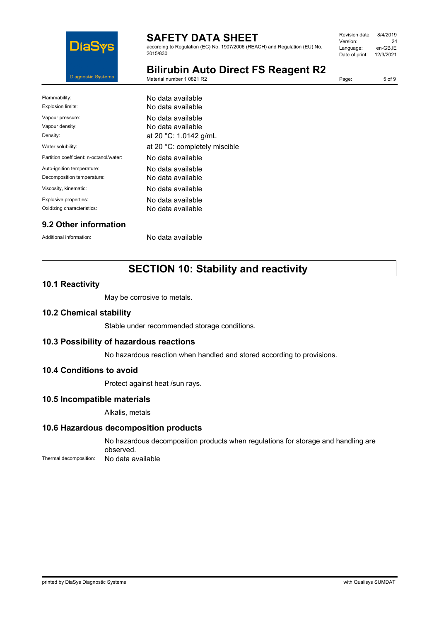

according to Regulation (EC) No. 1907/2006 (REACH) and Regulation (EU) No. 2015/830

| Revision date: | 8/4/2019  |
|----------------|-----------|
| Version:       | 24        |
| Language:      | en-GB.IE  |
| Date of print: | 12/3/2021 |
|                |           |

**Bilirubin Auto Direct FS Reagent R2** Material number 1 0821 R2

Page: 5 of 9

| No data available             |
|-------------------------------|
| No data available             |
| No data available             |
| No data available             |
| at 20 °C: 1.0142 g/mL         |
| at 20 °C: completely miscible |
| No data available             |
| No data available             |
| No data available             |
| No data available             |
| No data available             |
| No data available             |
|                               |

## **9.2 Other information**

Additional information: No data available

# **SECTION 10: Stability and reactivity**

#### **10.1 Reactivity**

May be corrosive to metals.

#### **10.2 Chemical stability**

Stable under recommended storage conditions.

#### **10.3 Possibility of hazardous reactions**

No hazardous reaction when handled and stored according to provisions.

#### **10.4 Conditions to avoid**

Protect against heat /sun rays.

#### **10.5 Incompatible materials**

Alkalis, metals

#### **10.6 Hazardous decomposition products**

No hazardous decomposition products when regulations for storage and handling are observed. Thermal decomposition: No data available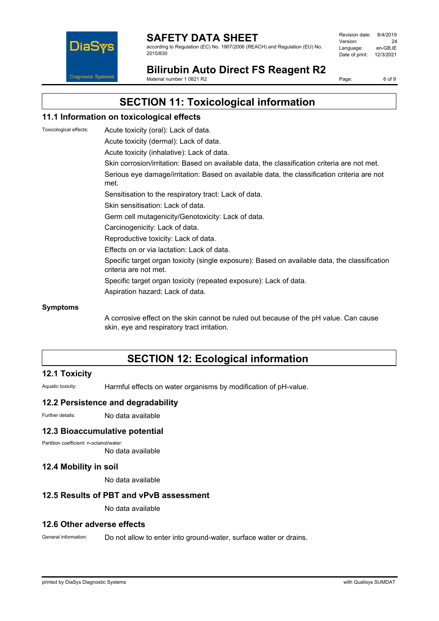

according to Regulation (EC) No. 1907/2006 (REACH) and Regulation (EU) No. 2015/830

| Revision date: | 8/4/2019  |
|----------------|-----------|
| Version:       | 24        |
| Language:      | en-GB.IE  |
| Date of print: | 12/3/2021 |
|                |           |

**Bilirubin Auto Direct FS Reagent R2**

Material number 1 0821 R2

Page: 6 of 9

## **SECTION 11: Toxicological information**

#### **11.1 Information on toxicological effects**

Toxicological effects: Acute toxicity (oral): Lack of data.

Acute toxicity (dermal): Lack of data.

Acute toxicity (inhalative): Lack of data.

Skin corrosion/irritation: Based on available data, the classification criteria are not met.

Serious eye damage/irritation: Based on available data, the classification criteria are not met.

Sensitisation to the respiratory tract: Lack of data.

Skin sensitisation: Lack of data.

Germ cell mutagenicity/Genotoxicity: Lack of data.

- Carcinogenicity: Lack of data.
- Reproductive toxicity: Lack of data.

Effects on or via lactation: Lack of data.

Specific target organ toxicity (single exposure): Based on available data, the classification criteria are not met.

Specific target organ toxicity (repeated exposure): Lack of data.

Aspiration hazard: Lack of data.

#### **Symptoms**

A corrosive effect on the skin cannot be ruled out because of the pH value. Can cause skin, eye and respiratory tract irritation.

# **SECTION 12: Ecological information**

### **12.1 Toxicity**

Aquatic toxicity: Harmful effects on water organisms by modification of pH-value.

#### **12.2 Persistence and degradability**

Further details: No data available

#### **12.3 Bioaccumulative potential**

Partition coefficient: n-octanol/water:

No data available

#### **12.4 Mobility in soil**

No data available

#### **12.5 Results of PBT and vPvB assessment**

No data available

#### **12.6 Other adverse effects**

General information: Do not allow to enter into ground-water, surface water or drains.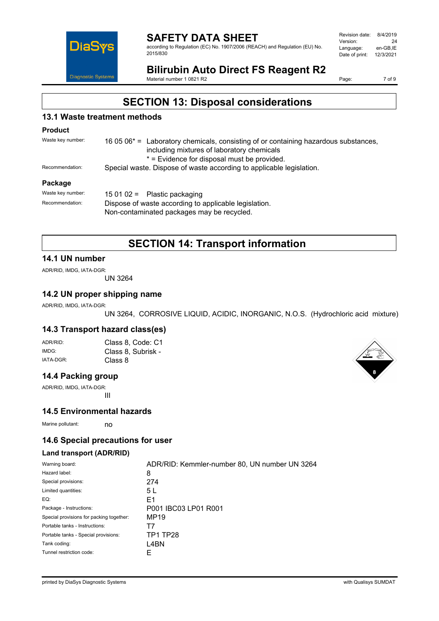

#### **SAFETY DATA SHEET** according to Regulation (EC) No. 1907/2006 (REACH) and Regulation (EU) No. 2015/830

| Revision date: | 8/4/2019  |
|----------------|-----------|
| Version:       | 24        |
| Language:      | en-GB.IE  |
| Date of print: | 12/3/2021 |
|                |           |

# **Bilirubin Auto Direct FS Reagent R2**

Material number 1 0821 R2

Page: 7 of 9

## **SECTION 13: Disposal considerations**

## **13.1 Waste treatment methods**

#### **Product**

| Waste key number: | 16 05 $06^*$ = Laboratory chemicals, consisting of or containing hazardous substances, |
|-------------------|----------------------------------------------------------------------------------------|
|                   | including mixtures of laboratory chemicals                                             |
|                   | * = Evidence for disposal must be provided.                                            |
| Recommendation:   | Special waste. Dispose of waste according to applicable legislation.                   |
| <b>Dackago</b>    |                                                                                        |

#### **Package**

| Waste key number: | $150102 =$ Plastic packaging                                                                        |  |
|-------------------|-----------------------------------------------------------------------------------------------------|--|
| Recommendation:   | Dispose of waste according to applicable legislation.<br>Non-contaminated packages may be recycled. |  |
|                   |                                                                                                     |  |

## **SECTION 14: Transport information**

#### **14.1 UN number**

ADR/RID, IMDG, IATA-DGR:

UN 3264

#### **14.2 UN proper shipping name**

ADR/RID, IMDG, IATA-DGR:

UN 3264, CORROSIVE LIQUID, ACIDIC, INORGANIC, N.O.S. (Hydrochloric acid mixture)

## **14.3 Transport hazard class(es)**

| ADR/RID:  | Class 8, Code: C1  |
|-----------|--------------------|
| IMDG:     | Class 8, Subrisk - |
| IATA-DGR: | Class 8            |

#### **14.4 Packing group**

ADR/RID, IMDG, IATA-DGR: III

#### **14.5 Environmental hazards**

Marine pollutant: no

### **14.6 Special precautions for user**

#### **Land transport (ADR/RID)**

| Warning board:                           | ADR/RID: Kemmler-number 80, UN number UN 3264 |
|------------------------------------------|-----------------------------------------------|
| Hazard label:                            | 8                                             |
| Special provisions:                      | 274                                           |
| Limited quantities:                      | 5 L                                           |
| EQ:                                      | E1                                            |
| Package - Instructions:                  | P001 IBC03 LP01 R001                          |
| Special provisions for packing together: | MP19                                          |
| Portable tanks - Instructions:           | $\mathsf{L}$                                  |
| Portable tanks - Special provisions:     | <b>TP1 TP28</b>                               |
| Tank coding:                             | L4BN                                          |
| Tunnel restriction code:                 | ۳                                             |

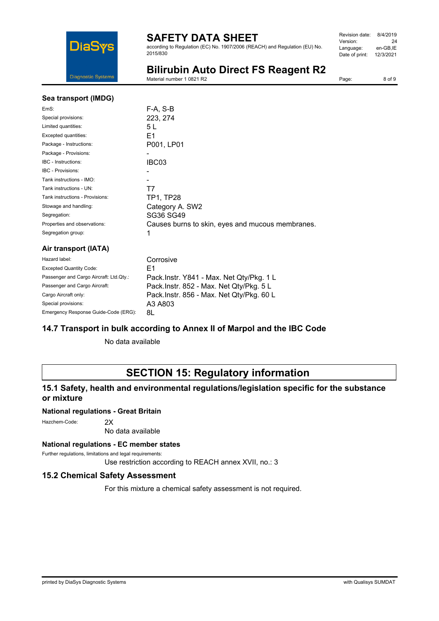

according to Regulation (EC) No. 1907/2006 (REACH) and Regulation (EU) No. 2015/830

| Revision date: | 8/4/2019  |
|----------------|-----------|
| Version:       | 24        |
| Language:      | en-GB.IE  |
| Date of print: | 12/3/2021 |
|                |           |

# **Bilirubin Auto Direct FS Reagent R2**

Material number 1 0821 R2

Page: 8 of 9

| Sea transport (IMDG)                    |                                                  |
|-----------------------------------------|--------------------------------------------------|
| EmS:                                    | F-A, S-B                                         |
| Special provisions:                     | 223, 274                                         |
| Limited quantities:                     | 5 L                                              |
| Excepted quantities:                    | E1                                               |
| Package - Instructions:                 | P001, LP01                                       |
| Package - Provisions:                   |                                                  |
| IBC - Instructions:                     | IBC03                                            |
| <b>IBC - Provisions:</b>                |                                                  |
| Tank instructions - IMO:                |                                                  |
| Tank instructions - UN:                 | T7                                               |
| Tank instructions - Provisions:         | TP1, TP28                                        |
| Stowage and handling:                   | Category A. SW2                                  |
| Segregation:                            | SG36 SG49                                        |
| Properties and observations:            | Causes burns to skin, eyes and mucous membranes. |
| Segregation group:                      | 1                                                |
| Air transport (IATA)                    |                                                  |
| Hazard label:                           | Corrosive                                        |
| <b>Excepted Quantity Code:</b>          | E1                                               |
| Passenger and Cargo Aircraft: Ltd.Qty.: | Pack.Instr. Y841 - Max. Net Qty/Pkg. 1 L         |

Special provisions: A3 A803 Emergency Response Guide-Code (ERG): 8L

# Passenger and Cargo Aircraft: Pack.Instr. 852 - Max. Net Qty/Pkg. 5 L<br>Cargo Aircraft only: Pack Instr. 856 - Max. Net Oty/Pkg. 60 Pack.Instr. 856 - Max. Net Qty/Pkg. 60 L

## **14.7 Transport in bulk according to Annex II of Marpol and the IBC Code**

No data available

# **SECTION 15: Regulatory information**

## **15.1 Safety, health and environmental regulations/legislation specific for the substance or mixture**

#### **National regulations - Great Britain**

Hazchem-Code: 2X

No data available

#### **National regulations - EC member states**

Further regulations, limitations and legal requirements:

Use restriction according to REACH annex XVII, no.: 3

### **15.2 Chemical Safety Assessment**

For this mixture a chemical safety assessment is not required.